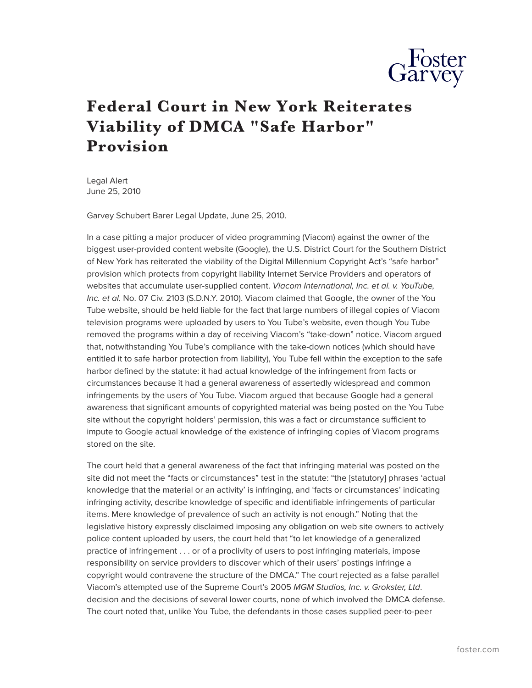

## **Federal Court in New York Reiterates Viability of DMCA "Safe Harbor" Provision**

Legal Alert June 25, 2010

Garvey Schubert Barer Legal Update, June 25, 2010.

In a case pitting a major producer of video programming (Viacom) against the owner of the biggest user-provided content website (Google), the U.S. District Court for the Southern District of New York has reiterated the viability of the Digital Millennium Copyright Act's "safe harbor" provision which protects from copyright liability Internet Service Providers and operators of websites that accumulate user-supplied content. *Viacom International, Inc. et al. v. YouTube, Inc. et al.* No. 07 Civ. 2103 (S.D.N.Y. 2010). Viacom claimed that Google, the owner of the You Tube website, should be held liable for the fact that large numbers of illegal copies of Viacom television programs were uploaded by users to You Tube's website, even though You Tube removed the programs within a day of receiving Viacom's "take-down" notice. Viacom argued that, notwithstanding You Tube's compliance with the take-down notices (which should have entitled it to safe harbor protection from liability), You Tube fell within the exception to the safe harbor defined by the statute: it had actual knowledge of the infringement from facts or circumstances because it had a general awareness of assertedly widespread and common infringements by the users of You Tube. Viacom argued that because Google had a general awareness that significant amounts of copyrighted material was being posted on the You Tube site without the copyright holders' permission, this was a fact or circumstance sufficient to impute to Google actual knowledge of the existence of infringing copies of Viacom programs stored on the site.

The court held that a general awareness of the fact that infringing material was posted on the site did not meet the "facts or circumstances" test in the statute: "the [statutory] phrases 'actual knowledge that the material or an activity' is infringing, and 'facts or circumstances' indicating infringing activity, describe knowledge of specific and identifiable infringements of particular items. Mere knowledge of prevalence of such an activity is not enough." Noting that the legislative history expressly disclaimed imposing any obligation on web site owners to actively police content uploaded by users, the court held that "to let knowledge of a generalized practice of infringement . . . or of a proclivity of users to post infringing materials, impose responsibility on service providers to discover which of their users' postings infringe a copyright would contravene the structure of the DMCA." The court rejected as a false parallel Viacom's attempted use of the Supreme Court's 2005 *MGM Studios, Inc. v. Grokster, Ltd*. decision and the decisions of several lower courts, none of which involved the DMCA defense. The court noted that, unlike You Tube, the defendants in those cases supplied peer-to-peer